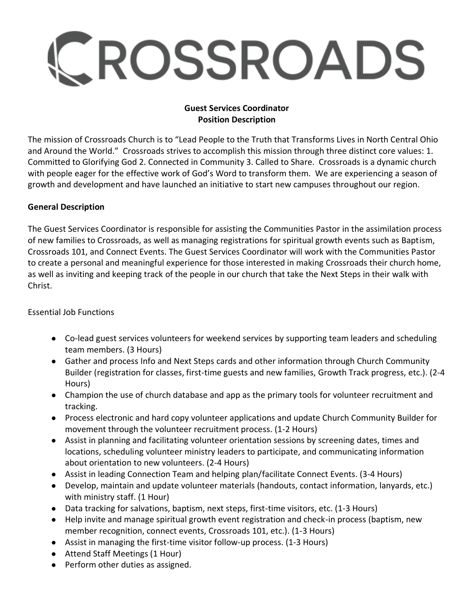# CROSSROADS

### **Guest Services Coordinator Position Description**

The mission of Crossroads Church is to "Lead People to the Truth that Transforms Lives in North Central Ohio and Around the World." Crossroads strives to accomplish this mission through three distinct core values: 1. Committed to Glorifying God 2. Connected in Community 3. Called to Share. Crossroads is a dynamic church with people eager for the effective work of God's Word to transform them. We are experiencing a season of growth and development and have launched an initiative to start new campuses throughout our region.

### **General Description**

The Guest Services Coordinator is responsible for assisting the Communities Pastor in the assimilation process of new families to Crossroads, as well as managing registrations for spiritual growth events such as Baptism, Crossroads 101, and Connect Events. The Guest Services Coordinator will work with the Communities Pastor to create a personal and meaningful experience for those interested in making Crossroads their church home, as well as inviting and keeping track of the people in our church that take the Next Steps in their walk with Christ.

### Essential Job Functions

- Co-lead guest services volunteers for weekend services by supporting team leaders and scheduling team members. (3 Hours)
- Gather and process Info and Next Steps cards and other information through Church Community Builder (registration for classes, first-time guests and new families, Growth Track progress, etc.). (2-4 Hours)
- Champion the use of church database and app as the primary tools for volunteer recruitment and tracking.
- Process electronic and hard copy volunteer applications and update Church Community Builder for movement through the volunteer recruitment process. (1-2 Hours)
- Assist in planning and facilitating volunteer orientation sessions by screening dates, times and locations, scheduling volunteer ministry leaders to participate, and communicating information about orientation to new volunteers. (2-4 Hours)
- Assist in leading Connection Team and helping plan/facilitate Connect Events. (3-4 Hours)
- Develop, maintain and update volunteer materials (handouts, contact information, lanyards, etc.) with ministry staff. (1 Hour)
- Data tracking for salvations, baptism, next steps, first-time visitors, etc. (1-3 Hours)
- Help invite and manage spiritual growth event registration and check-in process (baptism, new member recognition, connect events, Crossroads 101, etc.). (1-3 Hours)
- Assist in managing the first-time visitor follow-up process. (1-3 Hours)
- Attend Staff Meetings (1 Hour)
- Perform other duties as assigned.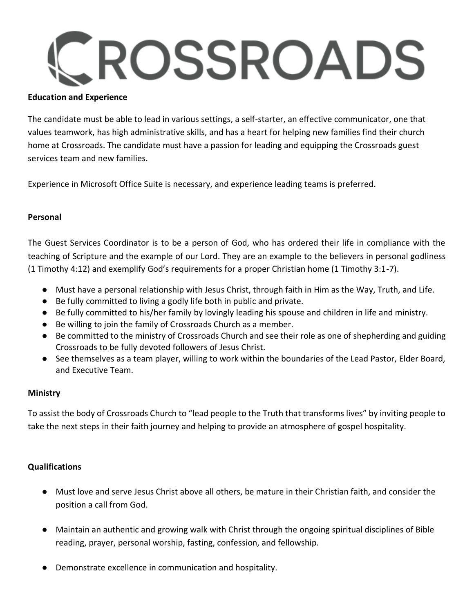## ROSSROADS

### **Education and Experience**

The candidate must be able to lead in various settings, a self-starter, an effective communicator, one that values teamwork, has high administrative skills, and has a heart for helping new families find their church home at Crossroads. The candidate must have a passion for leading and equipping the Crossroads guest services team and new families.

Experience in Microsoft Office Suite is necessary, and experience leading teams is preferred.

### **Personal**

The Guest Services Coordinator is to be a person of God, who has ordered their life in compliance with the teaching of Scripture and the example of our Lord. They are an example to the believers in personal godliness (1 Timothy 4:12) and exemplify God's requirements for a proper Christian home (1 Timothy 3:1-7).

- Must have a personal relationship with Jesus Christ, through faith in Him as the Way, Truth, and Life.
- Be fully committed to living a godly life both in public and private.
- Be fully committed to his/her family by lovingly leading his spouse and children in life and ministry.
- Be willing to join the family of Crossroads Church as a member.
- Be committed to the ministry of Crossroads Church and see their role as one of shepherding and guiding Crossroads to be fully devoted followers of Jesus Christ.
- See themselves as a team player, willing to work within the boundaries of the Lead Pastor, Elder Board, and Executive Team.

### **Ministry**

To assist the body of Crossroads Church to "lead people to the Truth that transforms lives" by inviting people to take the next steps in their faith journey and helping to provide an atmosphere of gospel hospitality.

### **Qualifications**

- Must love and serve Jesus Christ above all others, be mature in their Christian faith, and consider the position a call from God.
- Maintain an authentic and growing walk with Christ through the ongoing spiritual disciplines of Bible reading, prayer, personal worship, fasting, confession, and fellowship.
- Demonstrate excellence in communication and hospitality.